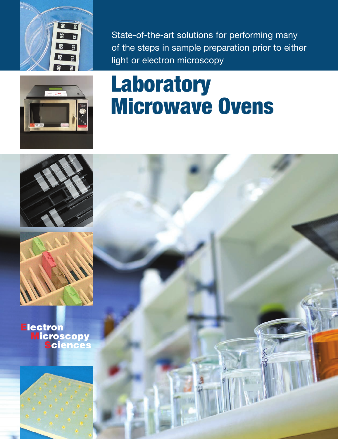

State-of-the-art solutions for performing many of the steps in sample preparation prior to either light or electron microscopy



# **Laboratory Microwave Ovens**





**Electron Microscopy<br>Sciences**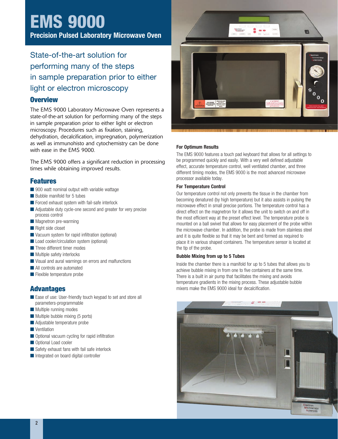## **EMS 9000**

**Precision Pulsed Laboratory Microwave Oven**

## State-of-the-art solution for performing many of the steps in sample preparation prior to either light or electron microscopy

#### **Overview**

The EMS 9000 Laboratory Microwave Oven represents a state-of-the-art solution for performing many of the steps in sample preparation prior to either light or electron microscopy. Procedures such as fixation, staining, dehydration, decalcification, impregnation, polymerization as well as immunohisto and cytochemistry can be done with ease in the EMS 9000.

The EMS 9000 offers a significant reduction in processing times while obtaining improved results.

#### **Features**

- $\blacksquare$  900 watt nominal output with variable wattage
- $\blacksquare$  Bubble manifold for 5 tubes
- Forced exhaust system with fail-safe interlock
- Adjustable duty cycle-one second and greater for very precise process control
- **n** Magnetron pre-warming
- $\blacksquare$  Right side closet
- $\blacksquare$  Vacuum system for rapid infiltration (optional)
- Load cooler/circulation system (optional)
- **n** Three different timer modes
- $\blacksquare$  Multiple safety interlocks
- Visual and aural warnings on errors and malfunctions
- $\blacksquare$  All controls are automated
- $\blacksquare$  Flexible temperature probe

#### **Advantages**

- Ease of use: User-friendly touch keypad to set and store all parameters-programmable
- $\blacksquare$  Multiple running modes
- $\blacksquare$  Multiple bubble mixing (5 ports)
- $\blacksquare$  Adjustable temperature probe
- **N** Ventilation
- Optional vacuum cycling for rapid infiltration
- **n** Optional Load cooler
- $\blacksquare$  Safety exhaust fans with fail safe interlock
- $\blacksquare$  Integrated on board digital controller



#### **For Optimum Results**

The EMS 9000 features a touch pad keyboard that allows for all settings to be programmed quickly and easily. With a very well defined adjustable effect, accurate temperature control, well ventilated chamber, and three different timing modes, the EMS 9000 is the most advanced microwave processor available today.

#### **For Temperature Control**

Our temperature control not only prevents the tissue in the chamber from becoming denatured (by high temperature) but it also assists in pulsing the microwave effect in small precise portions. The temperature control has a direct effect on the magnetron for it allows the unit to switch on and off in the most efficient way at the preset effect level. The temperature probe is mounted on a ball swivel that allows for easy placement of the probe within the microwave chamber. In addition, the probe is made from stainless steel and it is quite flexible so that it may be bent and formed as required to place it in various shaped containers. The temperature sensor is located at the tip of the probe.

#### **Bubble Mixing from up to 5 Tubes**

Inside the chamber there is a manifold for up to 5 tubes that allows you to achieve bubble mixing in from one to five containers at the same time. There is a built in air pump that facilitates the mixing and avoids temperature gradients in the mixing process. These adjustable bubble mixers make the EMS 9000 ideal for decalcification.

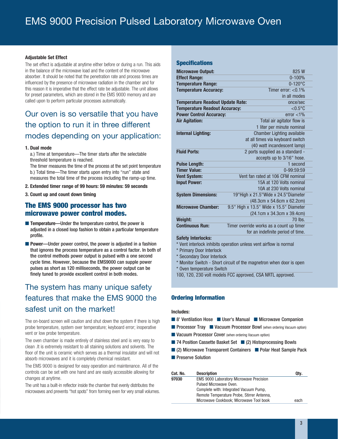#### **Adjustable Set Effect**

The set effect is adjustable at anytime either before or during a run. This aids in the balance of the microwave load and the content of the microwave absorber. It should be noted that the penetration rate and process times are influenced by the presence of microwave radiation in the chamber and for this reason it is imperative that the effect rate be adjustable. The unit allows for preset parameters, which are stored in the EMS 9000 memory and are called upon to perform particular processes automatically.

## Our oven is so versatile that you have the option to run it in three different modes depending on your application:

#### **1. Dual mode**

a.) Time at temperature—The timer starts after the selectable threshold temperature is reached.

The timer measures the time of the process at the set point temperature b.) Total time—The timer starts upon entry into "run" state and measures the total time of the process including the ramp-up time.

- **2. Extended timer range of 99 hours: 59 minutes: 59 seconds**
- **3. Count up and count down timing**

#### **The EMS 9000 processor has two microwave power control modes.**

- **Temperature—Under the temperature control, the power is** adjusted in a closed loop fashion to obtain a particular temperature profile.
- **Power—Under power control, the power is adjusted in a fashion** that ignores the process temperature as a control factor. In both of the control methods power output is pulsed with a one second cycle time. However, because the EMS9000 can supple power pulses as short as 120 milliseconds, the power output can be finely tuned to provide excellent control in both modes.

## The system has many unique safety features that make the EMS 9000 the safest unit on the market!

The on-board screen will caution and shut down the system if there is high probe temperature, system over temperature; keyboard error; inoperative vent or low probe temperature.

The oven chamber is made entirely of stainless steel and is very easy to clean .It is extremely resistant to all staining solutions and solvents. The floor of the unit is ceramic which serves as a thermal insulator and will not absorb microwaves and it is completely chemical resistant.

The EMS 9000 is designed for easy operation and maintenance. All of the controls can be set with one hand and are easily accessible allowing for changes at anytime.

The unit has a built-in reflector inside the chamber that evenly distributes the microwaves and prevents "hot spots" from forming even for very small volumes.

#### **Specifications**

| <b>Microwave Output:</b>                | 825W                                     |
|-----------------------------------------|------------------------------------------|
| <b>Effect Range:</b>                    | $0 - 100%$                               |
| <b>Temperature Range:</b>               | $0-120$ °C                               |
| <b>Temperature Accuracy:</b>            | Timer error: $< 0.1\%$                   |
|                                         | in all modes                             |
| <b>Temperature Readout Update Rate:</b> | once/sec                                 |
| <b>Temperature Readout Accuracy:</b>    | $< 0.5$ °C                               |
| <b>Power Control Accuracy:</b>          | $error < 1\%$                            |
| <b>Air Agitation:</b>                   | Total air agitator flow is               |
|                                         | 1 liter per minute nominal               |
| <b>Internal Lighting:</b>               | <b>Chamber Lighting available</b>        |
|                                         | at all times via keyboard switch         |
|                                         | (40 watt incandescent lamp)              |
| <b>Fluid Ports:</b>                     | 2 ports supplied as a standard -         |
|                                         | accepts up to 3/16" hose.                |
| <b>Pulse Length:</b>                    | 1 second                                 |
| <b>Timer Value:</b>                     | 0-99:59:59                               |
| <b>Vent System:</b>                     | Vent fan rated at 106 CFM nominal        |
| <b>Input Power:</b>                     | 15A at 120 Volts nominal                 |
|                                         | 10A at 230 Volts nominal                 |
| <b>System Dimensions:</b>               | 19"High x 21.5"Wide x 24.5"Diameter      |
|                                         | (48.3cm x 54.6cm x 62.2cm)               |
| <b>Microwave Chamber:</b>               | 9.5" High x 13.5" Wide x 15.5" Diameter  |
|                                         | (24.1cm x 34.3cm x 39.4cm)               |
| Weight:                                 | $70$ lbs.                                |
| <b>Continuous Run:</b>                  | Timer override works as a count up timer |
|                                         | for an indefinite period of time.        |

#### **Safety Interlocks:**

- \* Vent interlock inhibits operation unless vent airflow is normal
- \* Primary Door Interlock
- \* Secondary Door Interlock
- \* Monitor Switch Short circuit of the magnetron when door is open
- \* Oven temperature Switch
- 100, 120, 230 volt models FCC approved, CSA NRTL approved.

#### **Ordering Information**

#### **Includes:**

- 8' Ventilation Hose User's Manual Microwave Companion
- **n** Processor Tray **n** Vacuum Processor Bowl (when ordering Vacuum option)
- **N** Vacuum Processor Cover (when ordering Vacuum option)
- $\blacksquare$  74 Position Cassette Basket Set  $\blacksquare$  (2) Histoprocessing Bowls
- n (2) Microwave Transparent Containers **n** Polar Heat Sample Pack
- **n** Preserve Solution

| Cat. No. | <b>Description</b>                             | Qty. |
|----------|------------------------------------------------|------|
| 97030    | <b>EMS 9000 Laboratory Microwave Precision</b> |      |
|          | Pulsed Microwave Oven.                         |      |
|          | Complete with: Integrated Vacuum Pump,         |      |
|          | Remote Temperature Probe, Stirrer Antenna,     |      |
|          | Microwave Cookbook: Microwave Tool book        | each |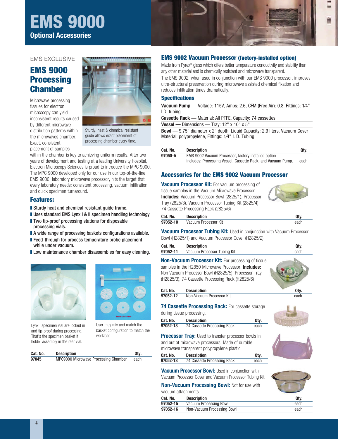## **EMS 9000 Optional Accessories**



#### EMS EXCLUSIVE

## **EMS 9000 Processing Chamber**

Microwave processing tissues for electron microscopy can yield inconsistent results caused by different microwave distribution patterns within the microwaves chamber. Exact, consistent placement of samples



Sturdy, heat & chemical resistant guide allows exact placement of processing chamber every time.

within the chamber is key to achieving uniform results. After two years of development and testing at a leading University Hospital, Electron Microscopy Sciences is proud to introduce the MPC 9000. The MPC 9000 developed only for our use in our top-of-the-line EMS 9000 laboratory microwave processor, hits the target that every laboratory needs: consistent processing, vacuum infiltration, and quick specimen turnaround.

#### **Features:**

- **Sturdy heat and chemical resistant quide frame.**
- **I** Uses standard EMS Lynx I & II specimen handling technology
- $\blacksquare$  Two tip-proof processing stations for disposable processing vials.
- A wide range of processing baskets configurations available.
- Feed-through for process temperature probe placement while under vacuum.
- **I** Low maintenance chamber disassembles for easy cleaning.



Lynx I specimen vial are locked in and tip-proof during processing. That's the specimen basket it holder assembly in the rear vial.



User may mix and match the basket configuration to match the workload

| Cat. No. | <b>Description</b>                   | Qty. |
|----------|--------------------------------------|------|
| 97045    | MPC9000 Microwave Processing Chamber | each |

#### **EMS 9002 Vacuum Processor (factory-installed option)**

Made from Pyrex® glass which offers better temperature conductivity and stability than any other material and is chemically resistant and microwave transparent.

The EMS 9002, when used in conjunction with our EMS 9000 processor, improves ultra-structural preservation during microwave assisted chemical fixation and reduces infiltration times dramatically.

#### **Specifications**

**Vacuum Pump —** Voltage: 115V, Amps: 2.6, CFM (Free Air): 0.8, Fittings: 1⁄4" I.D. tubing

| <b>Cassette Rack — Material: All PTFE, Capacity: 74 cassettes</b>                  |
|------------------------------------------------------------------------------------|
| <b>Vessel</b> — Dimensions — Tray: $12"$ x $10"$ x $5"$                            |
| <b>Bowl —</b> 9.75" diameter x 2" depth, Liquid Capacity: 2.9 liters, Vacuum Cover |
| Material: polypropylene, Fittings: 1/4" I. D. Tubing                               |

| Cat. No. | <b>Description</b>                                           | Qtv. |
|----------|--------------------------------------------------------------|------|
| 97050-A  | EMS 9002 Vacuum Processor, factory installed option          |      |
|          | includes: Processing Vessel. Cassette Rack. and Vacuum Pump. | each |

#### **Accessories for the EMS 9002 Vacuum Processor**

**Vacuum Processor Kit:** For vacuum processing of tissue samples in the Vacuum Microwave Processor. **Includes:** Vacuum Processor Bowl (2825/1), Processor Tray (2825/3), Vacuum Processor Tubing Kit (2825/4), 74 Cassette Processing Rack (2825/6)

| Cat. No. | <b>Description</b>   | Otv. |
|----------|----------------------|------|
| 97052-10 | Vacuum Processor Kit | each |

**Vacuum Processor Tubing Kit: Used in conjunction with Vacuum Processor** Bowl (H2825/1) and Vacuum Processor Cover (H2825/2).

| Cat. No. | <b>Description</b>          | Qtv. |
|----------|-----------------------------|------|
| 97052-11 | Vacuum Processor Tubing Kit | each |
|          |                             |      |

**Non-Vacuum Processor Kit:** For processing of tissue samples in the H2850 Microwave Processor. **Includes:** Non Vacuum Processor Bowl (H2825/5), Processor Tray (H2825/3), 74 Cassette Processing Rack (H2825/6)

| Cat. No. | <b>Description</b>       | 0tv  |
|----------|--------------------------|------|
| 97052-12 | Non-Vacuum Processor Kit | each |

#### **74 Cassette Processing Rack:** For cassette storage

during tissue processing.

vacuum attachments

| Cat. No. | <b>Description</b>          | Qty. |
|----------|-----------------------------|------|
| 97052-13 | 74 Cassette Processing Rack | each |

**Processor Tray:** Used to transfer processor bowls in and out of microwave processors. Made of durable microwave transparent polypropylene plastic.

**Vacuum Processor Bowl: Used in conjunction with** Vacuum Processor Cover and Vacuum Processor Tubing Kit. **Non-Vacuum Processing Bowl:** Not for use with

| Cat. No. | <b>Description</b>          | Qty. |
|----------|-----------------------------|------|
| 97052-13 | 74 Cassette Processing Rack | each |



| Qty. |  |
|------|--|
| each |  |
| each |  |

| Cat. No. | <b>Description</b>         | Qty. |
|----------|----------------------------|------|
| 97052-15 | Vacuum Processing Bowl     | each |
| 97052-16 | Non-Vacuum Processing Bowl | each |
|          |                            |      |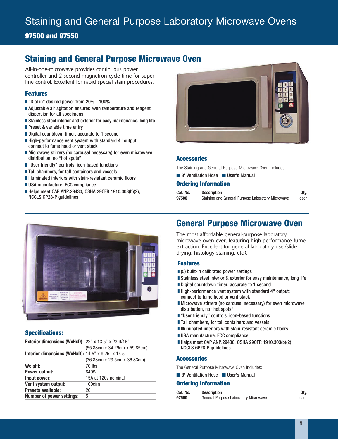## Staining and General Purpose Laboratory Microwave Ovens

#### **97500 and 97550**

## **Staining and General Purpose Microwave Oven**

All-in-one-microwave provides continuous power controller and 2-second magnetron cycle time for super fine control. Excellent for rapid special stain procedures.

#### **Features**

- "Dial in" desired power from 20% 100%
- Adjustable air agitation ensures even temperature and reagent dispersion for all specimens
- **Exampless steel interior and exterior for easy maintenance, long life**
- $\blacksquare$  Preset & variable time entry
- **Digital countdown timer, accurate to 1 second**
- High-performance vent system with standard 4" output; connect to fume hood or vent stack
- Microwave stirrers (no carousel necessary) for even microwave distribution, no "hot spots"
- "User friendly" controls, icon-based functions
- $\blacksquare$  Tall chambers, for tall containers and vessels
- **IIIIlluminated interiors with stain-resistant ceramic floors**
- **II USA manufacture; FCC compliance**
- Helps meet CAP ANP.29430, OSHA 29CFR 1910.303(b)(2), NCCLS GP28-P guidelines



#### **Accessories**

The Staining and General Purpose Microwave Oven includes:

**n** 8' Ventilation Hose **n** User's Manual

#### **Ordering Information**

| Cat. No. | <b>Description</b>                                | Qtv. |
|----------|---------------------------------------------------|------|
| 97500    | Staining and General Purpose Laboratory Microwave | each |



#### **Specifications:**

| <b>Exterior dimensions (WxHxD)</b> : $22''$ x 13.5" x 23 $9/16''$ | (55.88cm x 34.29cm x 59.85cm) |
|-------------------------------------------------------------------|-------------------------------|
| Interior dimensions (WxHxD): 14.5" x 9.25" x 14.5"                |                               |
|                                                                   | (36.83cm x 23.5cm x 36.83cm)  |
| Weight:                                                           | 70 lbs                        |
| Power output:                                                     | 840W                          |
| Input power:                                                      | 15A at 120y nominal           |
| Vent system output:                                               | 100cfm                        |
| Presets available:                                                | 20                            |
| <b>Number of power settings:</b>                                  | 5                             |

## **General Purpose Microwave Oven**

The most affordable general-purpose laboratory microwave oven ever, featuring high-performance fume extraction. Excellent for general laboratory use (slide drying, histology staining, etc.).

#### **Features**

- $\blacksquare$  (5) built-in calibrated power settings
- **Exampless steel interior & exterior for easy maintenance, long life**
- Digital countdown timer, accurate to 1 second
- High-performance vent system with standard 4" output: connect to fume hood or vent stack
- **I** Microwave stirrers (no carousel necessary) for even microwave distribution, no "hot spots"
- "User friendly" controls, icon-based functions
- $\blacksquare$  Tall chambers, for tall containers and vessels
- **IIIIlluminated interiors with stain-resistant ceramic floors**
- **I** USA manufacture; FCC compliance
- Helps meet CAP ANP.29430, OSHA 29CFR 1910.303(b)(2), NCCLS GP28-P guidelines

#### **Accessories**

The General Purpose Microwave Oven includes:

**n** 8' Ventilation Hose **n** User's Manual

#### **Ordering Information**

| Cat. No. | <b>Description</b>                          | Qty. |
|----------|---------------------------------------------|------|
| 97550    | <b>General Purpose Laboratory Microwave</b> | each |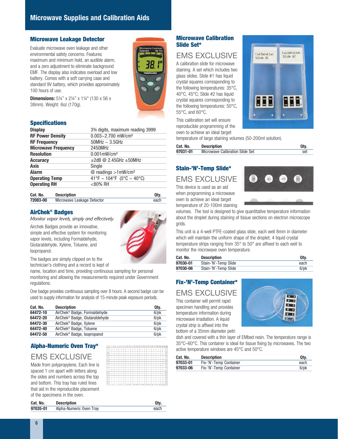#### **Microwave Leakage Detector**

Evaluate microwave oven leakage and other environmental safety concerns. Features maximum and minimum hold, an audible alarm, and a zero adjustment to eliminate background EMF. The display also indicates overload and low battery. Comes with a soft carrying case and standard 9V battery, which provides approximately 100 hours of use.



**Dimensions:** 5¼" x 2¼" x 1¼" (130 x 56 x 38mm). Weight: 6oz (170g).

#### **Specifications**

| <b>Display</b>             | 3 <sup>3</sup> % digits, maximum reading 3999 |
|----------------------------|-----------------------------------------------|
| <b>RF Power Density</b>    | $0.003 - 2.700$ mW/cm <sup>2</sup>            |
| <b>RF Frequency</b>        | $50MHz \sim 3.5GHz$                           |
| <b>Microwave Frequency</b> | 2450MHz                                       |
| <b>Resolution</b>          | $0.001$ mW/cm <sup>2</sup>                    |
| <b>Accuracy</b>            | $\pm$ 2dB @ 2.45GHz $\pm$ 50MHz               |
| Axis                       | Single                                        |
| Alarm                      | $@$ readings $>1$ mW/cm <sup>2</sup>          |
| <b>Operating Temp</b>      | 41°F ~ $\sqrt{104}$ °F (5°C ~ 40°C)           |
| <b>Operating RH</b>        | $<$ 80% RH                                    |
|                            |                                               |

| Cat. No. | <b>Description</b>         | Otv. |
|----------|----------------------------|------|
| 72083-00 | Microwave Leakage Detector | each |

#### **AirChek® Badges**

*Monitor vapor levels, simply and effectively.*

Airchek Badges provide an innovative, simple and effective system for monitoring vapor levels, including Formaldehyde, Glutaraldehyde, Xylene, Toluene, and Isopropanol.



The badges are simply clipped on to the technician's clothing and a record is kept of

name, location and time, providing continuous sampling for personal monitoring and allowing the measurements required under Government regulations.

One badge provides continuous sampling over 8 hours. A second badge can be used to supply information for analysis of 15-minute peak exposure periods.

| Cat. No. | <b>Description</b>                         | Qty.       |
|----------|--------------------------------------------|------------|
| 64472-10 | AirChek <sup>®</sup> Badge, Formaldehyde   | $6$ /p $k$ |
| 64472-20 | AirChek <sup>®</sup> Badge, Glutaraldehyde | $6$ /p $k$ |
| 64472-30 | AirChek <sup>®</sup> Badge, Xylene         | $6$ /p $k$ |
| 64472-40 | AirChek <sup>®</sup> Badge, Toluene        | $6$ /p $k$ |
| 64472-50 | AirChek <sup>®</sup> Badge, Isopropanol    | $6$ /p $k$ |

## **Alpha-Numeric Oven Tray\***

## EMS EXCLUSIVE

Made from polypropylene, Each line is spaced 1 cm apart with letters along the sides and numbers across the top and bottom. This tray has ruled lines that aid in the reproducible placement of the specimens in the oven.

|                |  |  |   |   |    |                                              |  |  |  |  | . . | $-$ |                          |
|----------------|--|--|---|---|----|----------------------------------------------|--|--|--|--|-----|-----|--------------------------|
| š              |  |  |   |   |    |                                              |  |  |  |  |     |     |                          |
|                |  |  |   |   |    |                                              |  |  |  |  |     |     |                          |
| ö              |  |  |   |   |    |                                              |  |  |  |  |     |     |                          |
| Ŧ              |  |  |   |   |    |                                              |  |  |  |  |     |     |                          |
| O              |  |  |   |   |    |                                              |  |  |  |  |     |     | ō                        |
| N              |  |  |   |   |    |                                              |  |  |  |  |     |     |                          |
| $\overline{a}$ |  |  |   |   |    |                                              |  |  |  |  |     |     | $\overline{\phantom{a}}$ |
| x              |  |  |   |   |    |                                              |  |  |  |  |     |     |                          |
| $\overline{a}$ |  |  |   |   |    |                                              |  |  |  |  |     |     |                          |
|                |  |  |   |   |    |                                              |  |  |  |  |     |     |                          |
|                |  |  |   |   |    |                                              |  |  |  |  |     |     |                          |
| ×              |  |  |   |   |    |                                              |  |  |  |  |     |     |                          |
| G              |  |  |   |   |    |                                              |  |  |  |  |     |     |                          |
| ×              |  |  |   |   |    |                                              |  |  |  |  |     |     |                          |
| ×              |  |  |   |   |    |                                              |  |  |  |  |     |     |                          |
| e              |  |  |   |   |    |                                              |  |  |  |  |     |     |                          |
| ċ              |  |  |   |   |    |                                              |  |  |  |  |     |     |                          |
|                |  |  |   |   |    |                                              |  |  |  |  |     |     |                          |
|                |  |  | y | ٠ | 15 | 11 12 13 14 15 16 17 18 19 20 21 22 23 24 25 |  |  |  |  |     |     | r.                       |

#### **Microwave Calibration Slide Set\***

## EMS EXCLUSIVE

A calibration slide for microwave staining. A set which includes two glass slides. Slide #1 has liquid crystal squares corresponding to the following temperatures: 35°C, 40°C, 45°C; Slide #2 has liquid crystal squares corresponding to the following temperatures: 50°C, 55°C, and 60°C.

This calibration set will ensure reproducible programming of the oven to achieve an ideal target

temperature of large staining volumes (50-200ml solution).

| Cat. No. | <b>Description</b>                     | Qtv. |
|----------|----------------------------------------|------|
| 97031-01 | <b>Microwave Calibration Slide Set</b> | set  |

#### **Stain-'N'-Temp Slide\***

## EMS EXCLUSIVE

This device is used as an aid when programming a microwave oven to achieve an ideal target temperature of 20-100ml staining



Calibration

 $S11de:$  #2

Calibration

35 40 45

Slide  $#1$ 

volumes. The tool is designed to give quantitative temperature information about the droplet during staining of tissue sections on electron microscope grids.

This unit is a 4-well PTFE-coated glass slide, each well 8mm in diameter which will maintain the uniform shape of the droplet; 4 liquid crystal temperature strips ranging from 35° to 50° are affixed to each well to monitor the microwave oven temperature.

| Cat. No. | <b>Description</b>   | Qtv.       |
|----------|----------------------|------------|
| 97030-01 | Stain-'N'-Temp Slide | each       |
| 97030-06 | Stain-'N'-Temp Slide | $6$ /p $k$ |

#### **Fix-'N'-Temp Container\***

#### EMS EXCLUSIVE

This container will permit rapid specimen handling and provides temperature information during microwave irradiation. A liquid crystal strip is affixed into the bottom of a 35mm diameter petri



dish and covered with a thin layer of EMbed resin. The temperature range is 35°C–60°C. This container is ideal for tissue fixing by microwaves. The two active temperature windows are 45°C and 50°C.

| Cat. No. | <b>Description</b>     | Qtv.       |
|----------|------------------------|------------|
| 97033-01 | Fix-'N'-Temp Container | each       |
| 97033-06 | Fix-'N'-Temp Container | $6$ /p $k$ |

| Cat. No. | <b>Description</b>      | Qty. |
|----------|-------------------------|------|
| 97035-01 | Alpha-Numeric Oven Tray | each |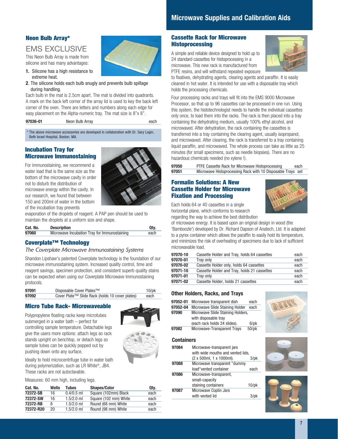#### **Neon Bulb Array\***

## EMS EXCLUSIVE

This Neon Bulb Array is made from silicone and has many advantages:

- **1.** Silicone has a high resistance to extreme heat.
- **2**. The silicone holds each bulb snugly and prevents bulb spillage during handling.

Each bulb in the mat is 2.5cm apart. The mat is divided into quadrants. A mark on the back left corner of the array lid is used to key the back left corner of the oven. There are letters and numbers along each edge for easy placement on the Alpha-numeric tray. The mat size is 8"x 8".

The above microwave accessories are developed in collaboration with Dr. Gary Login, Beth Israel Hospital, Boston, MA.

#### **Incubation Tray for Microwave Immunostaining**

For immunostaining, we recommend a water load that is the same size as the bottom of the microwave cavity in order not to disturb the distribution of microwave energy within the cavity. In our research, we found that between 150 and 200ml of water in the bottom of the incubation tray prevents



evaporation of the droplets of reagent. A PAP pen should be used to maintain the droplets at a uniform size and shape.

| Cat. No. | <b>Description</b>                           | Qtv. |
|----------|----------------------------------------------|------|
| 97060    | Microwave Incubation Tray for Immunostaining | each |

#### **Coverplate™ Technology**

#### *The Coverplate Microwave Immunostaining Systems*

Shandon Lipshaw's patented Coverplate technology is the foundation of our microwave immunostaining system. Increased quality control, time and reagent savings, specimen protection, and consistent superb quality stains can be expected when using our Coverplate Microwave Immunostaining protocols.

| 97091 | Disposable Cover Plates™                        | $10$ /p $k$ |
|-------|-------------------------------------------------|-------------|
| 97092 | Cover Plate™ Slide Rack (holds 10 cover plates) | each        |

#### **Micro Tube Rack- Microwaveable**

Polypropylene floating racks keep microtubes submerged in a water bath – perfect for controlling sample temperature. Detachable legs give the users more options: attach legs so rack stands upright on benchtop, or detach legs so sample tubes can be quickly popped out by pushing down onto any surface.





Ideally to hold microcentrifuge tube in water bath during polymerization, such as LR White®, JB4. These racks are not autoclavable.

Measures: 60 mm high, including legs.

| Cat. No.  | Wells | Tubes        | <b>Shapes/Color</b>   | Qtv. |
|-----------|-------|--------------|-----------------------|------|
| 72372-SB  | 16    | $0.4/0.5$ ml | Square (102mm) Black  | each |
| 72372-SW  | 16    | $1.5/2.0$ ml | Square (102 mm) White | each |
| 72372-RB  | 8     | $1.5/2.0$ ml | Round (68 mm) White   | each |
| 72372-R20 | 20    | $1.5/2.0$ ml | Round (98 mm) White   | each |

#### **Cassette Rack for Microwave Histoprocessing**

A simple and reliable device designed to hold up to 24 standard cassettes for histoprocessing in a microwave. This new rack is manufactured from PTFE resins, and will withstand repeated exposure



to fixatives, dehydrating agents, clearing agents and paraffin. It is easily cleaned in hot water. It is intended for use with a disposable tray which holds the processing chemicals.

Four processing racks and trays will fit into the EMS 9000 Microwave Processor, so that up to 96 cassettes can be processed in one run. Using this system, the histotechnologist needs to handle the individual cassettes only once, to load them into the racks. The rack is then placed into a tray containing the dehydrating medium, usually 100% ethyl alcohol, and microwaved. After dehydration, the rack containing the cassettes is transferred into a tray containing the clearing agent, usually isopropanol, and microwaved. After clearing, the rack is transferred to a tray containing liquid paraffin, and microwaved. The whole process can take as little as 25 minutes (for small specimens, such as needle biopsies). There are no hazardous chemicals needed (no xylene !).

**97050** PTFE Cassette Rack for Microwave Histoprocessing each<br>**97051** Microwave Histoprocessing Rack with 10 Disposable Trays set **97051** Microwave Histoprocessing Rack with 10 Disposable Trays set

#### **Formalin Solutions: A New Cassette Holder for Microwave Fixation and Processing**



Each holds 64 or 40 cassettes in a single horizontal plane, which conforms to research regarding the way to achieve the best distribution

of microwave energy. It is based upon an original design in wood (the 'Bamboozle') developed by Dr. Richard Dapson of Anatech, Ltd. It is adapted to a pyrex container which allows the paraffin to easily hold its temperature, and minimizes the risk of overheating of specimens due to lack of sufficient microwavable load.

| 97070-10 | Cassette Holder and Tray, holds 64 cassettes | each |
|----------|----------------------------------------------|------|
| 97070-01 | Trav only                                    | each |
| 97070-02 | Cassette Holder only, holds 64 cassettes     | each |
| 97071-10 | Cassette Holder and Tray, holds 21 cassettes | each |
| 97071-01 | Trav only                                    | each |
| 97071-02 | Cassette Holder, holds 21 cassettes          | each |

#### **Other Holders, Racks, and Trays**

| 97052-01          | Microwave transparent dish                                | each                |
|-------------------|-----------------------------------------------------------|---------------------|
| 97052-04          | Microwave Slide Staining Holder                           | each                |
| 97090             | Microwave Slide Staining Holders,<br>with disposable tray |                     |
|                   | (each rack holds 24 slides).                              | $6$ /p $k$          |
| 97082             | Microwave-Transparent Trays                               | $50$ /p $k$         |
| <b>Containers</b> |                                                           |                     |
| 97084             | Microwave-transparent jars                                |                     |
|                   | with wide mouths and vented lids.                         |                     |
|                   | (2 x 500ml, 1 x 1000ml).                                  | $3$ /p $\mathsf{k}$ |
| 97088             | Microwave transparent "dummy                              |                     |
|                   | load"vented container                                     | each                |

|       | load vented container  | eacn        |
|-------|------------------------|-------------|
| 97086 | Microwave-transparent, |             |
|       | small-capacity         |             |
|       | staining containers    | $10$ /p $k$ |
| 97087 | Microwave Coplin Jars  |             |
|       | with vented lid        | $3$ /p $k$  |